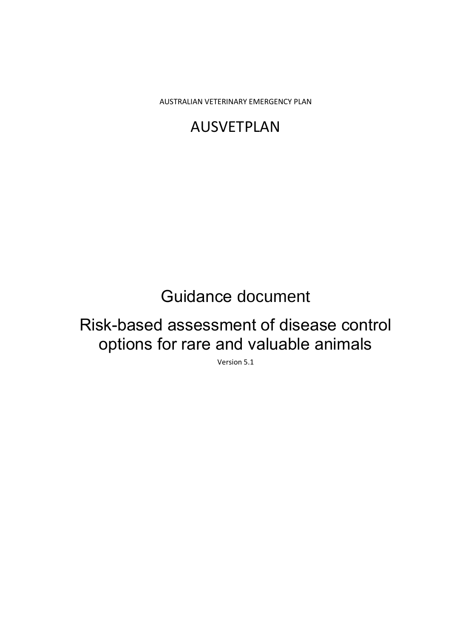AUSTRALIAN VETERINARY EMERGENCY PLAN

# AUSVETPLAN

# Guidance document

# Risk-based assessment of disease control options for rare and valuable animals

Version 5.1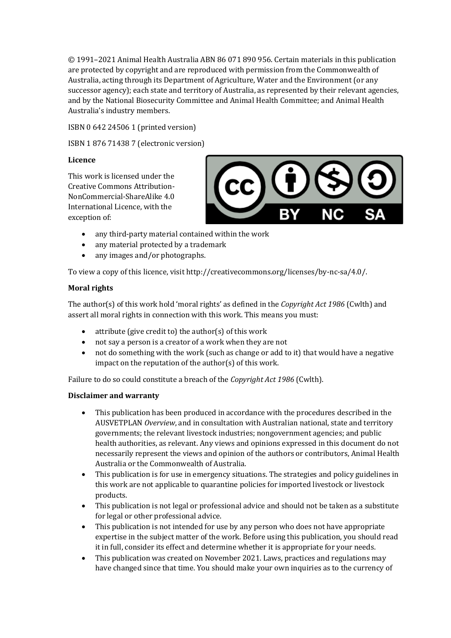© 1991–2021 Animal Health Australia ABN 86 071 890 956. Certain materials in this publication are protected by copyright and are reproduced with permission from the Commonwealth of Australia, acting through its Department of Agriculture, Water and the Environment (or any successor agency); each state and territory of Australia, as represented by their relevant agencies, and by the National Biosecurity Committee and Animal Health Committee; and Animal Health Australia's industry members.

ISBN 0 642 24506 1 (printed version)

ISBN 1 876 71438 7 (electronic version)

#### **Licence**

This work is licensed under the Creative Commons Attribution-NonCommercial-ShareAlike 4.0 International Licence, with the exception of:



- any third-party material contained within the work
- any material protected by a trademark
- any images and/or photographs.

To view a copy of this licence, visit http://creativecommons.org/licenses/by-nc-sa/4.0/.

#### **Moral rights**

The author(s) of this work hold 'moral rights' as defined in the *Copyright Act 1986* (Cwlth) and assert all moral rights in connection with this work. This means you must:

- attribute (give credit to) the author(s) of this work
- not say a person is a creator of a work when they are not
- not do something with the work (such as change or add to it) that would have a negative impact on the reputation of the author(s) of this work.

Failure to do so could constitute a breach of the *Copyright Act 1986* (Cwlth).

#### **Disclaimer and warranty**

- This publication has been produced in accordance with the procedures described in the AUSVETPLAN *Overview*, and in consultation with Australian national, state and territory governments; the relevant livestock industries; nongovernment agencies; and public health authorities, as relevant. Any views and opinions expressed in this document do not necessarily represent the views and opinion of the authors or contributors, Animal Health Australia or the Commonwealth of Australia.
- This publication is for use in emergency situations. The strategies and policy guidelines in this work are not applicable to quarantine policies for imported livestock or livestock products.
- This publication is not legal or professional advice and should not be taken as a substitute for legal or other professional advice.
- This publication is not intended for use by any person who does not have appropriate expertise in the subject matter of the work. Before using this publication, you should read it in full, consider its effect and determine whether it is appropriate for your needs.
- This publication was created on November 2021. Laws, practices and regulations may have changed since that time. You should make your own inquiries as to the currency of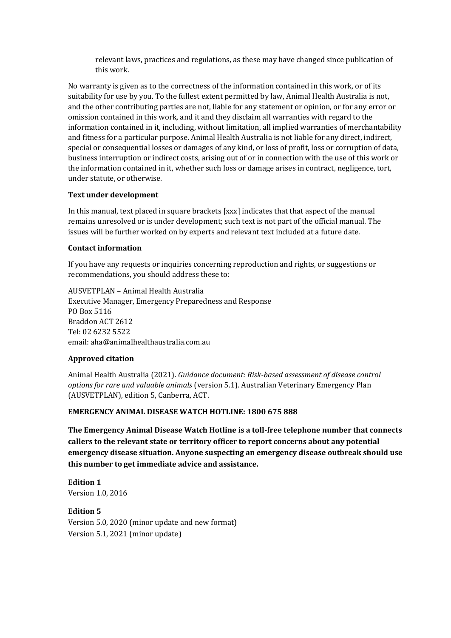relevant laws, practices and regulations, as these may have changed since publication of this work.

No warranty is given as to the correctness of the information contained in this work, or of its suitability for use by you. To the fullest extent permitted by law, Animal Health Australia is not, and the other contributing parties are not, liable for any statement or opinion, or for any error or omission contained in this work, and it and they disclaim all warranties with regard to the information contained in it, including, without limitation, all implied warranties of merchantability and fitness for a particular purpose. Animal Health Australia is not liable for any direct, indirect, special or consequential losses or damages of any kind, or loss of profit, loss or corruption of data, business interruption or indirect costs, arising out of or in connection with the use of this work or the information contained in it, whether such loss or damage arises in contract, negligence, tort, under statute, or otherwise.

#### **Text under development**

In this manual, text placed in square brackets [xxx] indicates that that aspect of the manual remains unresolved or is under development; such text is not part of the official manual. The issues will be further worked on by experts and relevant text included at a future date.

#### **Contact information**

If you have any requests or inquiries concerning reproduction and rights, or suggestions or recommendations, you should address these to:

AUSVETPLAN – Animal Health Australia Executive Manager, Emergency Preparedness and Response PO Box 5116 Braddon ACT 2612 Tel: 02 6232 5522 email: aha@animalhealthaustralia.com.au

#### **Approved citation**

Animal Health Australia (2021). *Guidance document: Risk-based assessment of disease control options for rare and valuable animals* (version 5.1). Australian Veterinary Emergency Plan (AUSVETPLAN), edition 5, Canberra, ACT.

#### **EMERGENCY ANIMAL DISEASE WATCH HOTLINE: 1800 675 888**

**The Emergency Animal Disease Watch Hotline is a toll-free telephone number that connects callers to the relevant state or territory officer to report concerns about any potential emergency disease situation. Anyone suspecting an emergency disease outbreak should use this number to get immediate advice and assistance.**

**Edition 1** Version 1.0, 2016

**Edition 5** Version 5.0, 2020 (minor update and new format) Version 5.1, 2021 (minor update)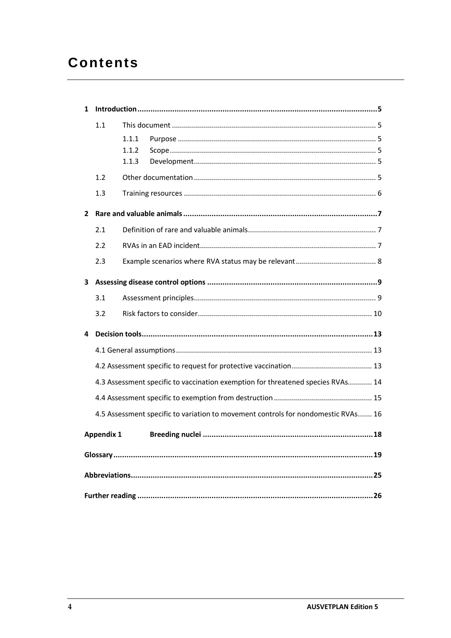# **Contents**

| 1 |                                                                                 |       |                                                                                   |
|---|---------------------------------------------------------------------------------|-------|-----------------------------------------------------------------------------------|
|   | 1.1                                                                             |       |                                                                                   |
|   |                                                                                 | 1.1.1 |                                                                                   |
|   |                                                                                 | 1.1.2 |                                                                                   |
|   |                                                                                 | 1.1.3 |                                                                                   |
|   | 1.2                                                                             |       |                                                                                   |
|   | 1.3                                                                             |       |                                                                                   |
| 2 |                                                                                 |       |                                                                                   |
|   | 2.1                                                                             |       |                                                                                   |
|   | 2.2                                                                             |       |                                                                                   |
|   | 2.3                                                                             |       |                                                                                   |
| 3 |                                                                                 |       |                                                                                   |
|   | 3.1                                                                             |       |                                                                                   |
|   | 3.2                                                                             |       |                                                                                   |
| 4 |                                                                                 |       |                                                                                   |
|   |                                                                                 |       |                                                                                   |
|   |                                                                                 |       |                                                                                   |
|   | 4.3 Assessment specific to vaccination exemption for threatened species RVAs 14 |       |                                                                                   |
|   |                                                                                 |       |                                                                                   |
|   |                                                                                 |       | 4.5 Assessment specific to variation to movement controls for nondomestic RVAs 16 |
|   | <b>Appendix 1</b>                                                               |       |                                                                                   |
|   |                                                                                 |       |                                                                                   |
|   |                                                                                 |       |                                                                                   |
|   |                                                                                 |       |                                                                                   |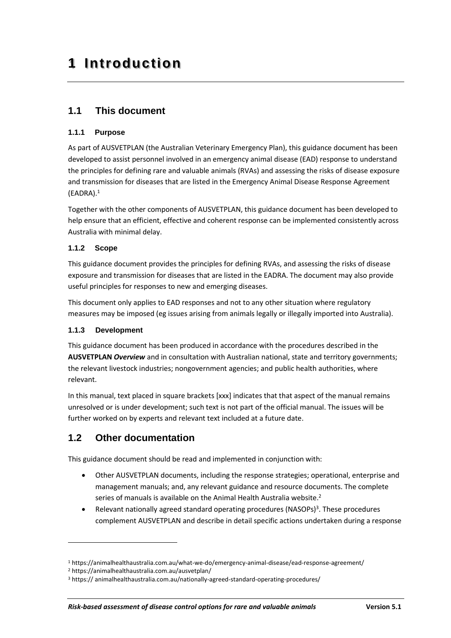# <span id="page-4-0"></span>**1 Introduction**

### <span id="page-4-1"></span>**1.1 This document**

#### <span id="page-4-2"></span>**1.1.1 Purpose**

As part of AUSVETPLAN (the Australian Veterinary Emergency Plan), this guidance document has been developed to assist personnel involved in an emergency animal disease (EAD) response to understand the principles for defining rare and valuable animals (RVAs) and assessing the risks of disease exposure and transmission for diseases that are listed in the Emergency Animal Disease Response Agreement (EADRA).<sup>1</sup>

Together with the other components of AUSVETPLAN, this guidance document has been developed to help ensure that an efficient, effective and coherent response can be implemented consistently across Australia with minimal delay.

#### <span id="page-4-3"></span>**1.1.2 Scope**

This guidance document provides the principles for defining RVAs, and assessing the risks of disease exposure and transmission for diseases that are listed in the EADRA. The document may also provide useful principles for responses to new and emerging diseases.

This document only applies to EAD responses and not to any other situation where regulatory measures may be imposed (eg issues arising from animals legally or illegally imported into Australia).

#### <span id="page-4-4"></span>**1.1.3 Development**

This guidance document has been produced in accordance with the procedures described in the **AUSVETPLAN** *Overview* and in consultation with Australian national, state and territory governments; the relevant livestock industries; nongovernment agencies; and public health authorities, where relevant.

In this manual, text placed in square brackets [xxx] indicates that that aspect of the manual remains unresolved or is under development; such text is not part of the official manual. The issues will be further worked on by experts and relevant text included at a future date.

### <span id="page-4-5"></span>**1.2 Other documentation**

This guidance document should be read and implemented in conjunction with:

- Other AUSVETPLAN documents, including the response strategies; operational, enterprise and management manuals; and, any relevant guidance and resource documents. The complete series of manuals is available on the Animal Health Australia website.<sup>2</sup>
- Relevant nationally agreed standard operating procedures (NASOPs)<sup>3</sup>. These procedures complement AUSVETPLAN and describe in detail specific actions undertaken during a response

<sup>1</sup> https://animalhealthaustralia.com.au/what-we-do/emergency-animal-disease/ead-response-agreement/

<sup>2</sup> https://animalhealthaustralia.com.au/ausvetplan/

<sup>3</sup> https:// animalhealthaustralia.com.au/nationally-agreed-standard-operating-procedures/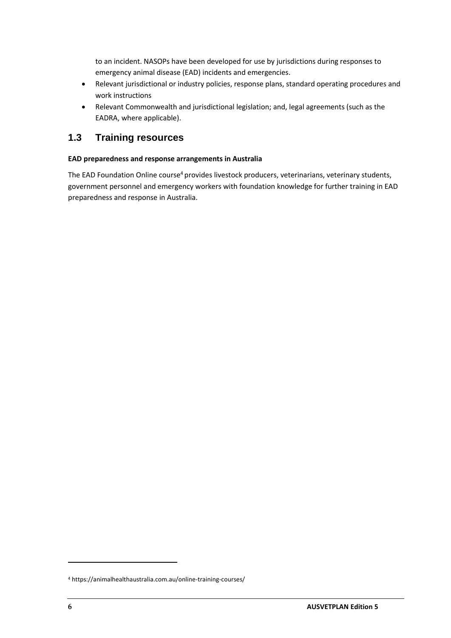to an incident. NASOPs have been developed for use by jurisdictions during responses to emergency animal disease (EAD) incidents and emergencies.

- Relevant jurisdictional or industry policies, response plans, standard operating procedures and work instructions
- Relevant Commonwealth and jurisdictional legislation; and, legal agreements (such as the EADRA, where applicable).

### <span id="page-5-0"></span>**1.3 Training resources**

#### **EAD preparedness and response arrangements in Australia**

The EAD Foundation Online course<sup>4</sup> provides livestock producers, veterinarians, veterinary students, government personnel and emergency workers with foundation knowledge for further training in EAD preparedness and response in Australia.

<sup>4</sup> https://animalhealthaustralia.com.au/online-training-courses/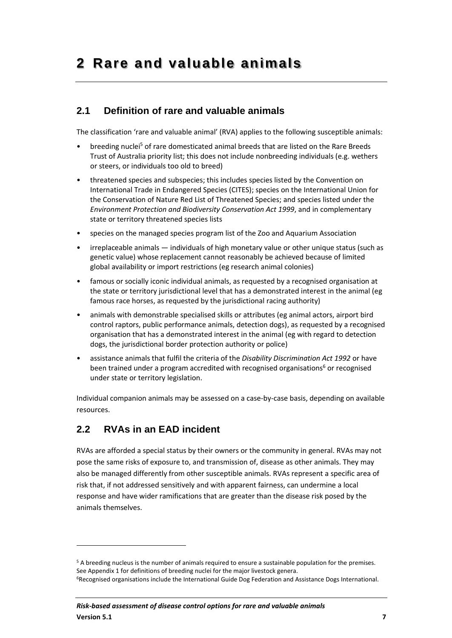## <span id="page-6-1"></span><span id="page-6-0"></span>**2.1 Definition of rare and valuable animals**

The classification 'rare and valuable animal' (RVA) applies to the following susceptible animals:

- breeding nuclei<sup>5</sup> of rare domesticated animal breeds that are listed on the Rare Breeds Trust of Australia priority list; this does not include nonbreeding individuals (e.g. wethers or steers, or individuals too old to breed)
- threatened species and subspecies; this includes species listed by the Convention on International Trade in Endangered Species (CITES); species on the International Union for the Conservation of Nature Red List of Threatened Species; and species listed under the *Environment Protection and Biodiversity Conservation Act 1999*, and in complementary state or territory threatened species lists
- species on the managed species program list of the Zoo and Aquarium Association
- irreplaceable animals individuals of high monetary value or other unique status (such as genetic value) whose replacement cannot reasonably be achieved because of limited global availability or import restrictions (eg research animal colonies)
- famous or socially iconic individual animals, as requested by a recognised organisation at the state or territory jurisdictional level that has a demonstrated interest in the animal (eg famous race horses, as requested by the jurisdictional racing authority)
- animals with demonstrable specialised skills or attributes (eg animal actors, airport bird control raptors, public performance animals, detection dogs), as requested by a recognised organisation that has a demonstrated interest in the animal (eg with regard to detection dogs, the jurisdictional border protection authority or police)
- assistance animals that fulfil the criteria of the *Disability Discrimination Act 1992* or have been trained under a program accredited with recognised organisations $<sup>6</sup>$  or recognised</sup> under state or territory legislation.

Individual companion animals may be assessed on a case-by-case basis, depending on available resources.

## <span id="page-6-2"></span>**2.2 RVAs in an EAD incident**

RVAs are afforded a special status by their owners or the community in general. RVAs may not pose the same risks of exposure to, and transmission of, disease as other animals. They may also be managed differently from other susceptible animals. RVAs represent a specific area of risk that, if not addressed sensitively and with apparent fairness, can undermine a local response and have wider ramifications that are greater than the disease risk posed by the animals themselves.

<sup>5</sup> A breeding nucleus is the number of animals required to ensure a sustainable population for the premises. See Appendix 1 for definitions of breeding nuclei for the major livestock genera. 6Recognised organisations include the International Guide Dog Federation and Assistance Dogs International.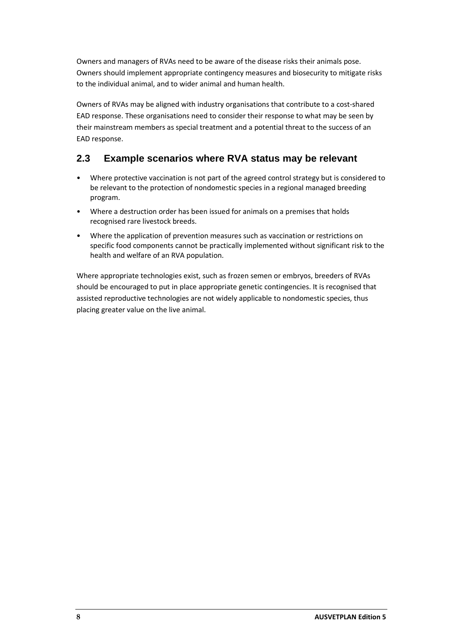Owners and managers of RVAs need to be aware of the disease risks their animals pose. Owners should implement appropriate contingency measures and biosecurity to mitigate risks to the individual animal, and to wider animal and human health.

Owners of RVAs may be aligned with industry organisations that contribute to a cost-shared EAD response. These organisations need to consider their response to what may be seen by their mainstream members as special treatment and a potential threat to the success of an EAD response.

### <span id="page-7-0"></span>**2.3 Example scenarios where RVA status may be relevant**

- Where protective vaccination is not part of the agreed control strategy but is considered to be relevant to the protection of nondomestic species in a regional managed breeding program.
- Where a destruction order has been issued for animals on a premises that holds recognised rare livestock breeds.
- Where the application of prevention measures such as vaccination or restrictions on specific food components cannot be practically implemented without significant risk to the health and welfare of an RVA population.

Where appropriate technologies exist, such as frozen semen or embryos, breeders of RVAs should be encouraged to put in place appropriate genetic contingencies. It is recognised that assisted reproductive technologies are not widely applicable to nondomestic species, thus placing greater value on the live animal.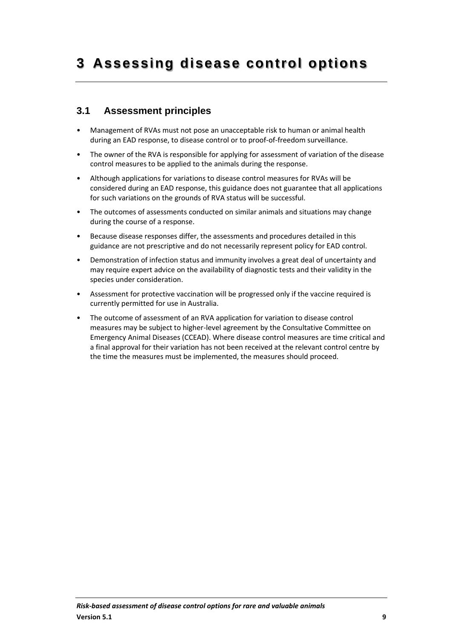## <span id="page-8-1"></span><span id="page-8-0"></span>**3.1 Assessment principles**

- Management of RVAs must not pose an unacceptable risk to human or animal health during an EAD response, to disease control or to proof-of-freedom surveillance.
- The owner of the RVA is responsible for applying for assessment of variation of the disease control measures to be applied to the animals during the response.
- Although applications for variations to disease control measures for RVAs will be considered during an EAD response, this guidance does not guarantee that all applications for such variations on the grounds of RVA status will be successful.
- The outcomes of assessments conducted on similar animals and situations may change during the course of a response.
- Because disease responses differ, the assessments and procedures detailed in this guidance are not prescriptive and do not necessarily represent policy for EAD control.
- Demonstration of infection status and immunity involves a great deal of uncertainty and may require expert advice on the availability of diagnostic tests and their validity in the species under consideration.
- Assessment for protective vaccination will be progressed only if the vaccine required is currently permitted for use in Australia.
- The outcome of assessment of an RVA application for variation to disease control measures may be subject to higher-level agreement by the Consultative Committee on Emergency Animal Diseases (CCEAD). Where disease control measures are time critical and a final approval for their variation has not been received at the relevant control centre by the time the measures must be implemented, the measures should proceed.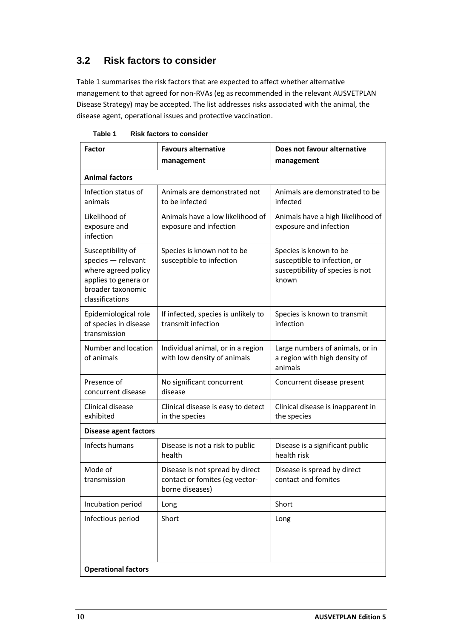## <span id="page-9-0"></span>**3.2 Risk factors to consider**

Table 1 summarises the risk factors that are expected to affect whether alternative management to that agreed for non-RVAs (eg as recommended in the relevant AUSVETPLAN Disease Strategy) may be accepted. The list addresses risks associated with the animal, the disease agent, operational issues and protective vaccination.

| <b>Factor</b>                                                                                                                  | <b>Favours alternative</b><br>management                                             | Does not favour alternative<br>management                                                           |  |
|--------------------------------------------------------------------------------------------------------------------------------|--------------------------------------------------------------------------------------|-----------------------------------------------------------------------------------------------------|--|
| <b>Animal factors</b>                                                                                                          |                                                                                      |                                                                                                     |  |
| Infection status of<br>animals                                                                                                 | Animals are demonstrated not<br>to be infected                                       | Animals are demonstrated to be<br>infected                                                          |  |
| Likelihood of<br>exposure and<br>infection                                                                                     | Animals have a low likelihood of<br>exposure and infection                           | Animals have a high likelihood of<br>exposure and infection                                         |  |
| Susceptibility of<br>species - relevant<br>where agreed policy<br>applies to genera or<br>broader taxonomic<br>classifications | Species is known not to be<br>susceptible to infection                               | Species is known to be<br>susceptible to infection, or<br>susceptibility of species is not<br>known |  |
| Epidemiological role<br>of species in disease<br>transmission                                                                  | If infected, species is unlikely to<br>transmit infection                            | Species is known to transmit<br>infection                                                           |  |
| Number and location<br>of animals                                                                                              | Individual animal, or in a region<br>with low density of animals                     | Large numbers of animals, or in<br>a region with high density of<br>animals                         |  |
| Presence of<br>concurrent disease                                                                                              | No significant concurrent<br>disease                                                 | Concurrent disease present                                                                          |  |
| Clinical disease<br>exhibited                                                                                                  | Clinical disease is easy to detect<br>in the species                                 | Clinical disease is inapparent in<br>the species                                                    |  |
| <b>Disease agent factors</b>                                                                                                   |                                                                                      |                                                                                                     |  |
| Infects humans                                                                                                                 | Disease is not a risk to public<br>health                                            | Disease is a significant public<br>health risk                                                      |  |
| Mode of<br>transmission                                                                                                        | Disease is not spread by direct<br>contact or fomites (eg vector-<br>borne diseases) | Disease is spread by direct<br>contact and fomites                                                  |  |
| Incubation period                                                                                                              | Long                                                                                 | Short                                                                                               |  |
| Infectious period                                                                                                              | Short                                                                                | Long                                                                                                |  |
| <b>Operational factors</b>                                                                                                     |                                                                                      |                                                                                                     |  |

**Table 1 Risk factors to consider**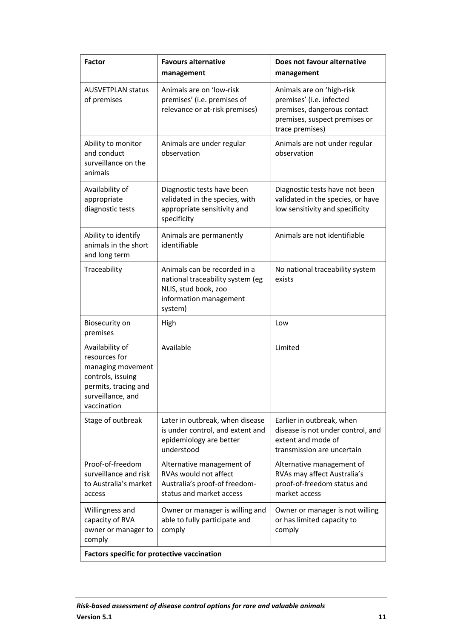| <b>Factor</b>                                                                                                                          | <b>Favours alternative</b><br>management                                                                                      | Does not favour alternative<br>management                                                                                                |
|----------------------------------------------------------------------------------------------------------------------------------------|-------------------------------------------------------------------------------------------------------------------------------|------------------------------------------------------------------------------------------------------------------------------------------|
| <b>AUSVETPLAN status</b><br>of premises                                                                                                | Animals are on 'low-risk<br>premises' (i.e. premises of<br>relevance or at-risk premises)                                     | Animals are on 'high-risk<br>premises' (i.e. infected<br>premises, dangerous contact<br>premises, suspect premises or<br>trace premises) |
| Ability to monitor<br>and conduct<br>surveillance on the<br>animals                                                                    | Animals are under regular<br>observation                                                                                      | Animals are not under regular<br>observation                                                                                             |
| Availability of<br>appropriate<br>diagnostic tests                                                                                     | Diagnostic tests have been<br>validated in the species, with<br>appropriate sensitivity and<br>specificity                    | Diagnostic tests have not been<br>validated in the species, or have<br>low sensitivity and specificity                                   |
| Ability to identify<br>animals in the short<br>and long term                                                                           | Animals are permanently<br>identifiable                                                                                       | Animals are not identifiable                                                                                                             |
| Traceability                                                                                                                           | Animals can be recorded in a<br>national traceability system (eg<br>NLIS, stud book, zoo<br>information management<br>system) | No national traceability system<br>exists                                                                                                |
| Biosecurity on<br>premises                                                                                                             | High                                                                                                                          | Low                                                                                                                                      |
| Availability of<br>resources for<br>managing movement<br>controls, issuing<br>permits, tracing and<br>surveillance, and<br>vaccination | Available                                                                                                                     | Limited                                                                                                                                  |
| Stage of outbreak                                                                                                                      | Later in outbreak, when disease<br>is under control, and extent and<br>epidemiology are better<br>understood                  | Earlier in outbreak, when<br>disease is not under control, and<br>extent and mode of<br>transmission are uncertain                       |
| Proof-of-freedom<br>surveillance and risk<br>to Australia's market<br>access                                                           | Alternative management of<br>RVAs would not affect<br>Australia's proof-of freedom-<br>status and market access               | Alternative management of<br>RVAs may affect Australia's<br>proof-of-freedom status and<br>market access                                 |
| Willingness and<br>capacity of RVA<br>owner or manager to<br>comply                                                                    | Owner or manager is willing and<br>able to fully participate and<br>comply                                                    | Owner or manager is not willing<br>or has limited capacity to<br>comply                                                                  |
| <b>Factors specific for protective vaccination</b>                                                                                     |                                                                                                                               |                                                                                                                                          |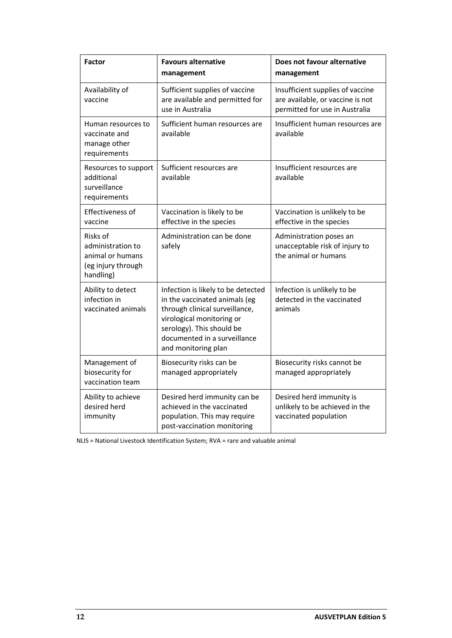| <b>Factor</b>                                                                        | <b>Favours alternative</b><br>management                                                                                                                                                                               | Does not favour alternative<br>management                                                              |
|--------------------------------------------------------------------------------------|------------------------------------------------------------------------------------------------------------------------------------------------------------------------------------------------------------------------|--------------------------------------------------------------------------------------------------------|
| Availability of<br>vaccine                                                           | Sufficient supplies of vaccine<br>are available and permitted for<br>use in Australia                                                                                                                                  | Insufficient supplies of vaccine<br>are available, or vaccine is not<br>permitted for use in Australia |
| Human resources to<br>vaccinate and<br>manage other<br>requirements                  | Sufficient human resources are<br>available                                                                                                                                                                            | Insufficient human resources are<br>available                                                          |
| Resources to support<br>additional<br>surveillance<br>requirements                   | Sufficient resources are<br>available                                                                                                                                                                                  | Insufficient resources are<br>available                                                                |
| Effectiveness of<br>vaccine                                                          | Vaccination is likely to be<br>effective in the species                                                                                                                                                                | Vaccination is unlikely to be<br>effective in the species                                              |
| Risks of<br>administration to<br>animal or humans<br>(eg injury through<br>handling) | Administration can be done<br>safely                                                                                                                                                                                   | Administration poses an<br>unacceptable risk of injury to<br>the animal or humans                      |
| Ability to detect<br>infection in<br>vaccinated animals                              | Infection is likely to be detected<br>in the vaccinated animals (eg<br>through clinical surveillance,<br>virological monitoring or<br>serology). This should be<br>documented in a surveillance<br>and monitoring plan | Infection is unlikely to be<br>detected in the vaccinated<br>animals                                   |
| Management of<br>biosecurity for<br>vaccination team                                 | Biosecurity risks can be<br>managed appropriately                                                                                                                                                                      | Biosecurity risks cannot be<br>managed appropriately                                                   |
| Ability to achieve<br>desired herd<br>immunity                                       | Desired herd immunity can be<br>achieved in the vaccinated<br>population. This may require<br>post-vaccination monitoring                                                                                              | Desired herd immunity is<br>unlikely to be achieved in the<br>vaccinated population                    |

NLIS = National Livestock Identification System; RVA = rare and valuable animal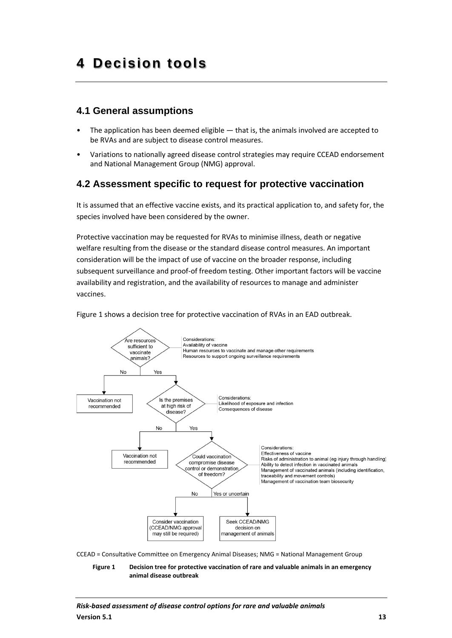### <span id="page-12-1"></span><span id="page-12-0"></span>**4.1 General assumptions**

- The application has been deemed eligible that is, the animals involved are accepted to be RVAs and are subject to disease control measures.
- Variations to nationally agreed disease control strategies may require CCEAD endorsement and National Management Group (NMG) approval.

### <span id="page-12-2"></span>**4.2 Assessment specific to request for protective vaccination**

It is assumed that an effective vaccine exists, and its practical application to, and safety for, the species involved have been considered by the owner.

Protective vaccination may be requested for RVAs to minimise illness, death or negative welfare resulting from the disease or the standard disease control measures. An important consideration will be the impact of use of vaccine on the broader response, including subsequent surveillance and proof-of freedom testing. Other important factors will be vaccine availability and registration, and the availability of resources to manage and administer vaccines.

Figure 1 shows a decision tree for protective vaccination of RVAs in an EAD outbreak.



CCEAD = Consultative Committee on Emergency Animal Diseases; NMG = National Management Group

**Figure 1 Decision tree for protective vaccination of rare and valuable animals in an emergency animal disease outbreak**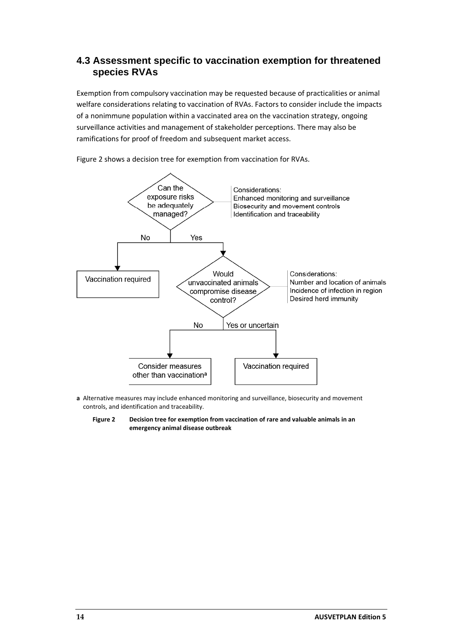### <span id="page-13-0"></span>**4.3 Assessment specific to vaccination exemption for threatened species RVAs**

Exemption from compulsory vaccination may be requested because of practicalities or animal welfare considerations relating to vaccination of RVAs. Factors to consider include the impacts of a nonimmune population within a vaccinated area on the vaccination strategy, ongoing surveillance activities and management of stakeholder perceptions. There may also be ramifications for proof of freedom and subsequent market access.



Figure 2 shows a decision tree for exemption from vaccination for RVAs.

- **a** Alternative measures may include enhanced monitoring and surveillance, biosecurity and movement controls, and identification and traceability.
	- **Figure 2 Decision tree for exemption from vaccination of rare and valuable animals in an emergency animal disease outbreak**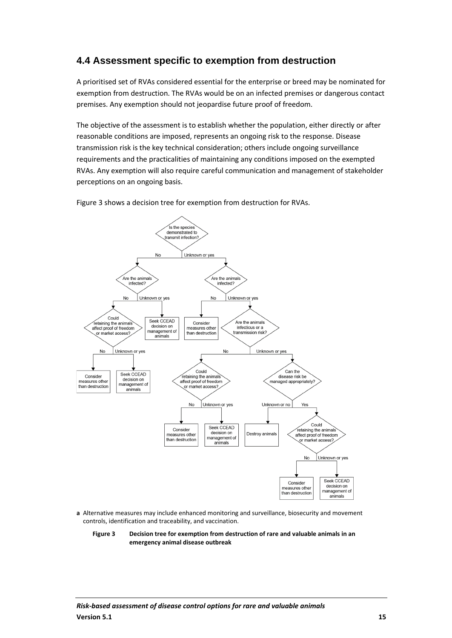## <span id="page-14-0"></span>**4.4 Assessment specific to exemption from destruction**

A prioritised set of RVAs considered essential for the enterprise or breed may be nominated for exemption from destruction. The RVAs would be on an infected premises or dangerous contact premises. Any exemption should not jeopardise future proof of freedom.

The objective of the assessment is to establish whether the population, either directly or after reasonable conditions are imposed, represents an ongoing risk to the response. Disease transmission risk is the key technical consideration; others include ongoing surveillance requirements and the practicalities of maintaining any conditions imposed on the exempted RVAs. Any exemption will also require careful communication and management of stakeholder perceptions on an ongoing basis.

Figure 3 shows a decision tree for exemption from destruction for RVAs.



**a** Alternative measures may include enhanced monitoring and surveillance, biosecurity and movement controls, identification and traceability, and vaccination.

**Figure 3 Decision tree for exemption from destruction of rare and valuable animals in an emergency animal disease outbreak**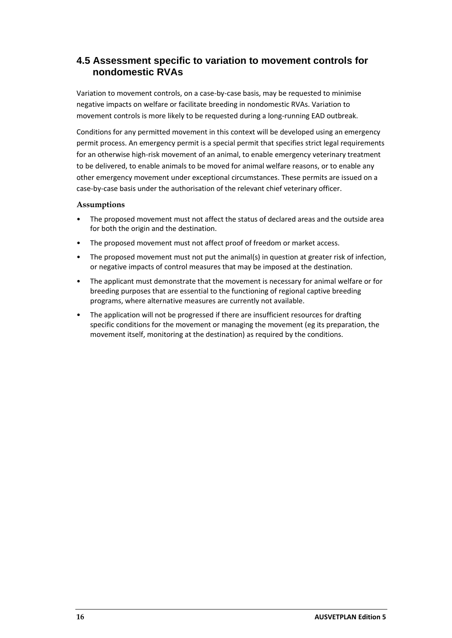### <span id="page-15-0"></span>**4.5 Assessment specific to variation to movement controls for nondomestic RVAs**

Variation to movement controls, on a case-by-case basis, may be requested to minimise negative impacts on welfare or facilitate breeding in nondomestic RVAs. Variation to movement controls is more likely to be requested during a long-running EAD outbreak.

Conditions for any permitted movement in this context will be developed using an emergency permit process. An emergency permit is a special permit that specifies strict legal requirements for an otherwise high-risk movement of an animal, to enable emergency veterinary treatment to be delivered, to enable animals to be moved for animal welfare reasons, or to enable any other emergency movement under exceptional circumstances. These permits are issued on a case-by-case basis under the authorisation of the relevant chief veterinary officer.

#### **Assumptions**

- The proposed movement must not affect the status of declared areas and the outside area for both the origin and the destination.
- The proposed movement must not affect proof of freedom or market access.
- The proposed movement must not put the animal(s) in question at greater risk of infection, or negative impacts of control measures that may be imposed at the destination.
- The applicant must demonstrate that the movement is necessary for animal welfare or for breeding purposes that are essential to the functioning of regional captive breeding programs, where alternative measures are currently not available.
- The application will not be progressed if there are insufficient resources for drafting specific conditions for the movement or managing the movement (eg its preparation, the movement itself, monitoring at the destination) as required by the conditions.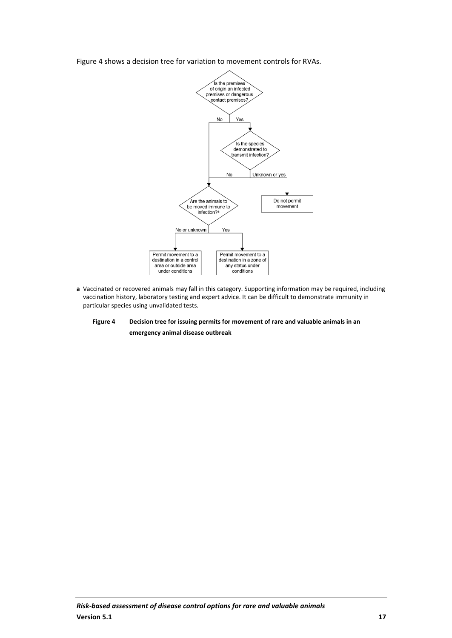

Figure 4 shows a decision tree for variation to movement controls for RVAs.

- **a** Vaccinated or recovered animals may fall in this category. Supporting information may be required, including vaccination history, laboratory testing and expert advice. It can be difficult to demonstrate immunity in particular species using unvalidated tests.
	- **Figure 4 Decision tree for issuing permits for movement of rare and valuable animals in an emergency animal disease outbreak**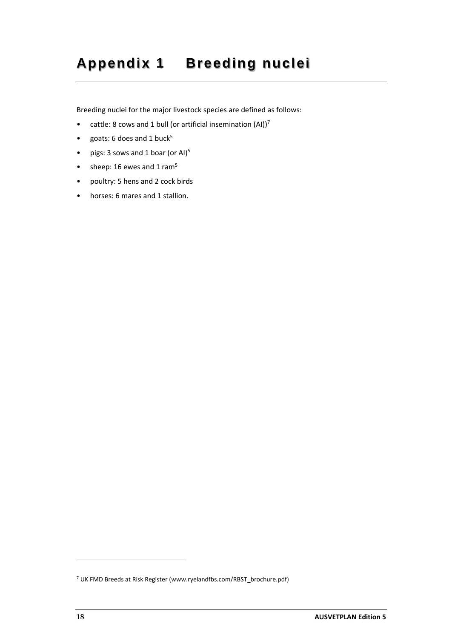# <span id="page-17-0"></span>**Appendix 1 Breeding nuclei**

Breeding nuclei for the major livestock species are defined as follows:

- cattle: 8 cows and 1 bull (or artificial insemination  $(AI))^7$
- goats: 6 does and 1 buck $5$
- pigs: 3 sows and 1 boar (or Al)<sup>5</sup>
- sheep:  $16$  ewes and  $1$  ram<sup>5</sup>
- poultry: 5 hens and 2 cock birds
- horses: 6 mares and 1 stallion.

<sup>7</sup> UK FMD Breeds at Risk Register (www.ryelandfbs.com/RBST\_brochure.pdf)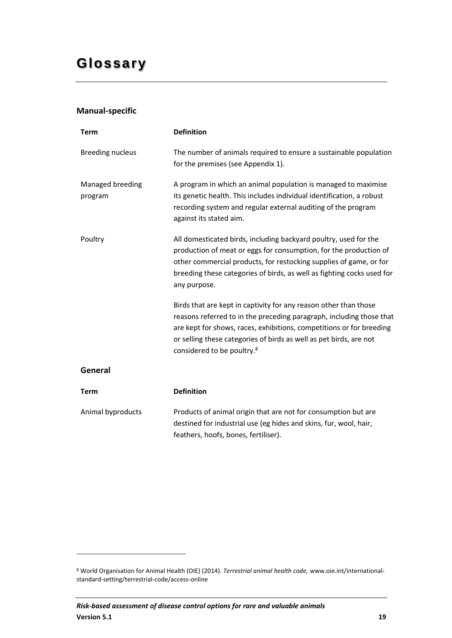#### <span id="page-18-0"></span>**Manual-specific**

| <b>Term</b>                 | <b>Definition</b>                                                                                                                                                                                                                                                                                                                |
|-----------------------------|----------------------------------------------------------------------------------------------------------------------------------------------------------------------------------------------------------------------------------------------------------------------------------------------------------------------------------|
| <b>Breeding nucleus</b>     | The number of animals required to ensure a sustainable population<br>for the premises (see Appendix 1).                                                                                                                                                                                                                          |
| Managed breeding<br>program | A program in which an animal population is managed to maximise<br>its genetic health. This includes individual identification, a robust<br>recording system and regular external auditing of the program<br>against its stated aim.                                                                                              |
| Poultry                     | All domesticated birds, including backyard poultry, used for the<br>production of meat or eggs for consumption, for the production of<br>other commercial products, for restocking supplies of game, or for<br>breeding these categories of birds, as well as fighting cocks used for<br>any purpose.                            |
|                             | Birds that are kept in captivity for any reason other than those<br>reasons referred to in the preceding paragraph, including those that<br>are kept for shows, races, exhibitions, competitions or for breeding<br>or selling these categories of birds as well as pet birds, are not<br>considered to be poultry. <sup>8</sup> |
| General                     |                                                                                                                                                                                                                                                                                                                                  |
| <b>Term</b>                 | <b>Definition</b>                                                                                                                                                                                                                                                                                                                |
| Animal byproducts           | Products of animal origin that are not for consumption but are<br>destined for industrial use (eg hides and skins, fur, wool, hair,<br>feathers, hoofs, bones, fertiliser).                                                                                                                                                      |

<sup>8</sup> World Organisation for Animal Health (OIE) (2014). *Terrestrial animal health code,* www.oie.int/internationalstandard-setting/terrestrial-code/access-online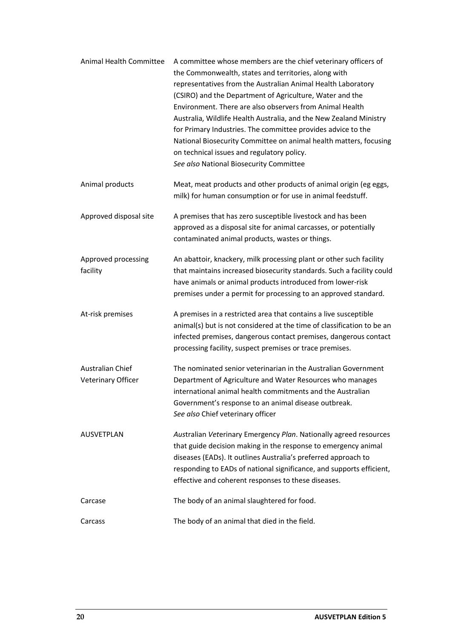| Animal Health Committee                | A committee whose members are the chief veterinary officers of<br>the Commonwealth, states and territories, along with<br>representatives from the Australian Animal Health Laboratory<br>(CSIRO) and the Department of Agriculture, Water and the<br>Environment. There are also observers from Animal Health<br>Australia, Wildlife Health Australia, and the New Zealand Ministry<br>for Primary Industries. The committee provides advice to the<br>National Biosecurity Committee on animal health matters, focusing<br>on technical issues and regulatory policy.<br>See also National Biosecurity Committee |
|----------------------------------------|--------------------------------------------------------------------------------------------------------------------------------------------------------------------------------------------------------------------------------------------------------------------------------------------------------------------------------------------------------------------------------------------------------------------------------------------------------------------------------------------------------------------------------------------------------------------------------------------------------------------|
| Animal products                        | Meat, meat products and other products of animal origin (eg eggs,<br>milk) for human consumption or for use in animal feedstuff.                                                                                                                                                                                                                                                                                                                                                                                                                                                                                   |
| Approved disposal site                 | A premises that has zero susceptible livestock and has been<br>approved as a disposal site for animal carcasses, or potentially<br>contaminated animal products, wastes or things.                                                                                                                                                                                                                                                                                                                                                                                                                                 |
| Approved processing<br>facility        | An abattoir, knackery, milk processing plant or other such facility<br>that maintains increased biosecurity standards. Such a facility could<br>have animals or animal products introduced from lower-risk<br>premises under a permit for processing to an approved standard.                                                                                                                                                                                                                                                                                                                                      |
| At-risk premises                       | A premises in a restricted area that contains a live susceptible<br>animal(s) but is not considered at the time of classification to be an<br>infected premises, dangerous contact premises, dangerous contact<br>processing facility, suspect premises or trace premises.                                                                                                                                                                                                                                                                                                                                         |
| Australian Chief<br>Veterinary Officer | The nominated senior veterinarian in the Australian Government<br>Department of Agriculture and Water Resources who manages<br>international animal health commitments and the Australian<br>Government's response to an animal disease outbreak.<br>See also Chief veterinary officer                                                                                                                                                                                                                                                                                                                             |
| <b>AUSVETPLAN</b>                      | Australian Veterinary Emergency Plan. Nationally agreed resources<br>that guide decision making in the response to emergency animal<br>diseases (EADs). It outlines Australia's preferred approach to<br>responding to EADs of national significance, and supports efficient,<br>effective and coherent responses to these diseases.                                                                                                                                                                                                                                                                               |
| Carcase                                | The body of an animal slaughtered for food.                                                                                                                                                                                                                                                                                                                                                                                                                                                                                                                                                                        |
| Carcass                                | The body of an animal that died in the field.                                                                                                                                                                                                                                                                                                                                                                                                                                                                                                                                                                      |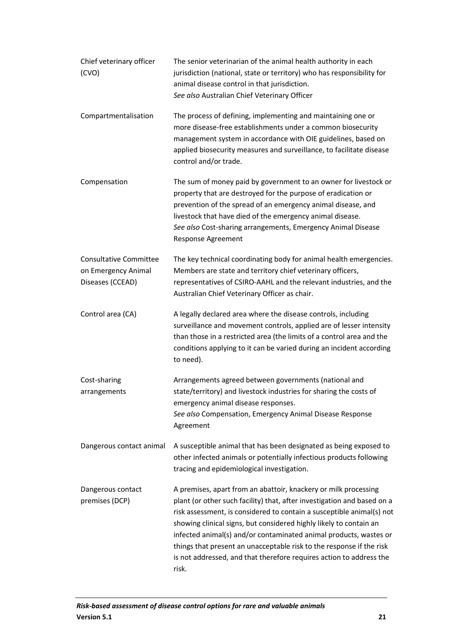| Chief veterinary officer<br>(CVO)                                        | The senior veterinarian of the animal health authority in each<br>jurisdiction (national, state or territory) who has responsibility for<br>animal disease control in that jurisdiction.<br>See also Australian Chief Veterinary Officer                                                                                                                                                                                                                                                                               |
|--------------------------------------------------------------------------|------------------------------------------------------------------------------------------------------------------------------------------------------------------------------------------------------------------------------------------------------------------------------------------------------------------------------------------------------------------------------------------------------------------------------------------------------------------------------------------------------------------------|
| Compartmentalisation                                                     | The process of defining, implementing and maintaining one or<br>more disease-free establishments under a common biosecurity<br>management system in accordance with OIE guidelines, based on<br>applied biosecurity measures and surveillance, to facilitate disease<br>control and/or trade.                                                                                                                                                                                                                          |
| Compensation                                                             | The sum of money paid by government to an owner for livestock or<br>property that are destroyed for the purpose of eradication or<br>prevention of the spread of an emergency animal disease, and<br>livestock that have died of the emergency animal disease.<br>See also Cost-sharing arrangements, Emergency Animal Disease<br>Response Agreement                                                                                                                                                                   |
| <b>Consultative Committee</b><br>on Emergency Animal<br>Diseases (CCEAD) | The key technical coordinating body for animal health emergencies.<br>Members are state and territory chief veterinary officers,<br>representatives of CSIRO-AAHL and the relevant industries, and the<br>Australian Chief Veterinary Officer as chair.                                                                                                                                                                                                                                                                |
| Control area (CA)                                                        | A legally declared area where the disease controls, including<br>surveillance and movement controls, applied are of lesser intensity<br>than those in a restricted area (the limits of a control area and the<br>conditions applying to it can be varied during an incident according<br>to need).                                                                                                                                                                                                                     |
| Cost-sharing<br>arrangements                                             | Arrangements agreed between governments (national and<br>state/territory) and livestock industries for sharing the costs of<br>emergency animal disease responses.<br>See also Compensation, Emergency Animal Disease Response<br>Agreement                                                                                                                                                                                                                                                                            |
| Dangerous contact animal                                                 | A susceptible animal that has been designated as being exposed to<br>other infected animals or potentially infectious products following<br>tracing and epidemiological investigation.                                                                                                                                                                                                                                                                                                                                 |
| Dangerous contact<br>premises (DCP)                                      | A premises, apart from an abattoir, knackery or milk processing<br>plant (or other such facility) that, after investigation and based on a<br>risk assessment, is considered to contain a susceptible animal(s) not<br>showing clinical signs, but considered highly likely to contain an<br>infected animal(s) and/or contaminated animal products, wastes or<br>things that present an unacceptable risk to the response if the risk<br>is not addressed, and that therefore requires action to address the<br>risk. |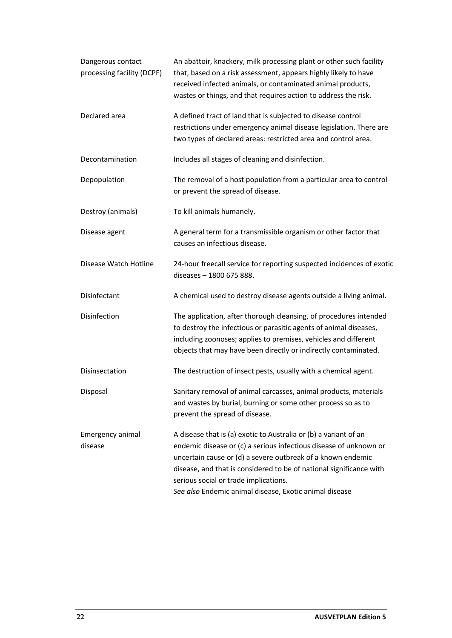| Dangerous contact<br>processing facility (DCPF) | An abattoir, knackery, milk processing plant or other such facility<br>that, based on a risk assessment, appears highly likely to have<br>received infected animals, or contaminated animal products,<br>wastes or things, and that requires action to address the risk.                                                                                                       |
|-------------------------------------------------|--------------------------------------------------------------------------------------------------------------------------------------------------------------------------------------------------------------------------------------------------------------------------------------------------------------------------------------------------------------------------------|
| Declared area                                   | A defined tract of land that is subjected to disease control<br>restrictions under emergency animal disease legislation. There are<br>two types of declared areas: restricted area and control area.                                                                                                                                                                           |
| Decontamination                                 | Includes all stages of cleaning and disinfection.                                                                                                                                                                                                                                                                                                                              |
| Depopulation                                    | The removal of a host population from a particular area to control<br>or prevent the spread of disease.                                                                                                                                                                                                                                                                        |
| Destroy (animals)                               | To kill animals humanely.                                                                                                                                                                                                                                                                                                                                                      |
| Disease agent                                   | A general term for a transmissible organism or other factor that<br>causes an infectious disease.                                                                                                                                                                                                                                                                              |
| Disease Watch Hotline                           | 24-hour freecall service for reporting suspected incidences of exotic<br>diseases - 1800 675 888.                                                                                                                                                                                                                                                                              |
| Disinfectant                                    | A chemical used to destroy disease agents outside a living animal.                                                                                                                                                                                                                                                                                                             |
| Disinfection                                    | The application, after thorough cleansing, of procedures intended<br>to destroy the infectious or parasitic agents of animal diseases,<br>including zoonoses; applies to premises, vehicles and different<br>objects that may have been directly or indirectly contaminated.                                                                                                   |
| Disinsectation                                  | The destruction of insect pests, usually with a chemical agent.                                                                                                                                                                                                                                                                                                                |
| Disposal                                        | Sanitary removal of animal carcasses, animal products, materials<br>and wastes by burial, burning or some other process so as to<br>prevent the spread of disease.                                                                                                                                                                                                             |
| Emergency animal<br>disease                     | A disease that is (a) exotic to Australia or (b) a variant of an<br>endemic disease or (c) a serious infectious disease of unknown or<br>uncertain cause or (d) a severe outbreak of a known endemic<br>disease, and that is considered to be of national significance with<br>serious social or trade implications.<br>See also Endemic animal disease, Exotic animal disease |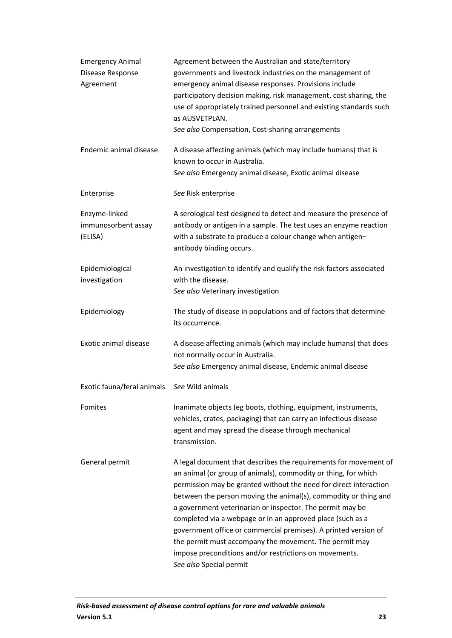| <b>Emergency Animal</b><br>Disease Response<br>Agreement | Agreement between the Australian and state/territory<br>governments and livestock industries on the management of<br>emergency animal disease responses. Provisions include<br>participatory decision making, risk management, cost sharing, the<br>use of appropriately trained personnel and existing standards such<br>as AUSVETPLAN.<br>See also Compensation, Cost-sharing arrangements                                                                                                                                                                                                                            |
|----------------------------------------------------------|-------------------------------------------------------------------------------------------------------------------------------------------------------------------------------------------------------------------------------------------------------------------------------------------------------------------------------------------------------------------------------------------------------------------------------------------------------------------------------------------------------------------------------------------------------------------------------------------------------------------------|
| Endemic animal disease                                   | A disease affecting animals (which may include humans) that is<br>known to occur in Australia.<br>See also Emergency animal disease, Exotic animal disease                                                                                                                                                                                                                                                                                                                                                                                                                                                              |
| Enterprise                                               | See Risk enterprise                                                                                                                                                                                                                                                                                                                                                                                                                                                                                                                                                                                                     |
| Enzyme-linked<br>immunosorbent assay<br>(ELISA)          | A serological test designed to detect and measure the presence of<br>antibody or antigen in a sample. The test uses an enzyme reaction<br>with a substrate to produce a colour change when antigen-<br>antibody binding occurs.                                                                                                                                                                                                                                                                                                                                                                                         |
| Epidemiological<br>investigation                         | An investigation to identify and qualify the risk factors associated<br>with the disease.<br>See also Veterinary investigation                                                                                                                                                                                                                                                                                                                                                                                                                                                                                          |
| Epidemiology                                             | The study of disease in populations and of factors that determine<br>its occurrence.                                                                                                                                                                                                                                                                                                                                                                                                                                                                                                                                    |
| Exotic animal disease                                    | A disease affecting animals (which may include humans) that does<br>not normally occur in Australia.<br>See also Emergency animal disease, Endemic animal disease                                                                                                                                                                                                                                                                                                                                                                                                                                                       |
| Exotic fauna/feral animals                               | See Wild animals                                                                                                                                                                                                                                                                                                                                                                                                                                                                                                                                                                                                        |
| Fomites                                                  | Inanimate objects (eg boots, clothing, equipment, instruments,<br>vehicles, crates, packaging) that can carry an infectious disease<br>agent and may spread the disease through mechanical<br>transmission.                                                                                                                                                                                                                                                                                                                                                                                                             |
| General permit                                           | A legal document that describes the requirements for movement of<br>an animal (or group of animals), commodity or thing, for which<br>permission may be granted without the need for direct interaction<br>between the person moving the animal(s), commodity or thing and<br>a government veterinarian or inspector. The permit may be<br>completed via a webpage or in an approved place (such as a<br>government office or commercial premises). A printed version of<br>the permit must accompany the movement. The permit may<br>impose preconditions and/or restrictions on movements.<br>See also Special permit |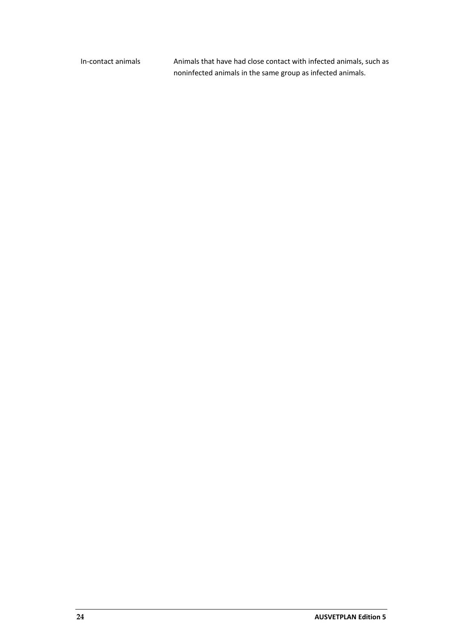In-contact animals Animals that have had close contact with infected animals, such as noninfected animals in the same group as infected animals.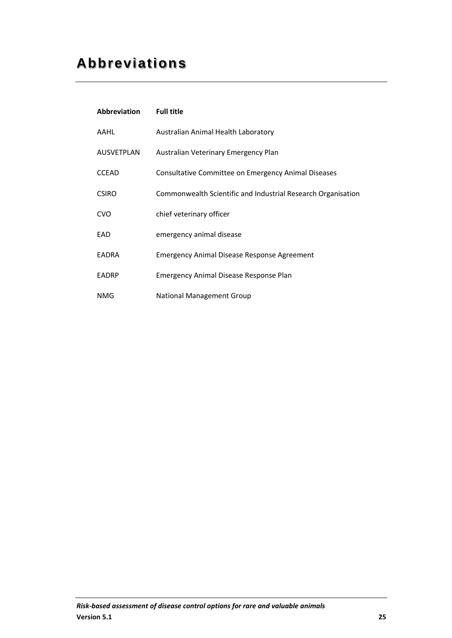# <span id="page-24-0"></span>**Abbreviations**

| Abbreviation | <b>Full title</b>                                            |
|--------------|--------------------------------------------------------------|
| AAHL         | Australian Animal Health Laboratory                          |
| AUSVETPLAN   | Australian Veterinary Emergency Plan                         |
| <b>CCEAD</b> | Consultative Committee on Emergency Animal Diseases          |
| <b>CSIRO</b> | Commonwealth Scientific and Industrial Research Organisation |
| <b>CVO</b>   | chief veterinary officer                                     |
| EAD          | emergency animal disease                                     |
| <b>EADRA</b> | <b>Emergency Animal Disease Response Agreement</b>           |
| <b>EADRP</b> | <b>Emergency Animal Disease Response Plan</b>                |
| NMG          | <b>National Management Group</b>                             |